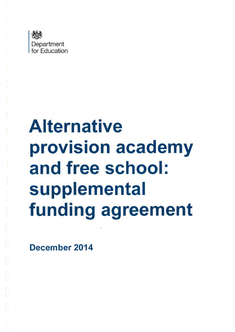

# **Alternative** . . . .<br>. . . . rovision academ and free school: supplemental funding agreement

December 2014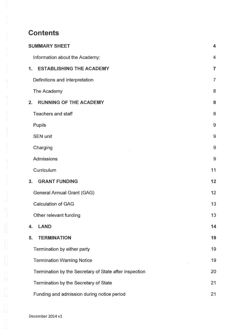# **Contents**

| <b>SUMMARY SHEET</b>                                   | 4              |
|--------------------------------------------------------|----------------|
| Information about the Academy:                         | $\overline{4}$ |
| <b>ESTABLISHING THE ACADEMY</b><br>1.                  | 7              |
| Definitions and interpretation                         | $\overline{7}$ |
| The Academy                                            | 8              |
| <b>RUNNING OF THE ACADEMY</b><br>2.                    | 8              |
| <b>Teachers and staff</b>                              | 8              |
| Pupils                                                 | 9              |
| <b>SEN unit</b>                                        | 9              |
| Charging                                               | 9              |
| Admissions                                             | 9              |
| Curriculum                                             | 11             |
| <b>GRANT FUNDING</b><br>3.                             | 12             |
| General Annual Grant (GAG)                             | 12             |
| <b>Calculation of GAG</b>                              | 13             |
| Other relevant funding                                 | 13             |
| <b>LAND</b><br>4.                                      | 14             |
| <b>TERMINATION</b><br>5.                               | 19             |
| Termination by either party                            | 19             |
| <b>Termination Warning Notice</b>                      | 19             |
| Termination by the Secretary of State after inspection | 20             |
| Termination by the Secretary of State                  | 21             |
| Funding and admission during notice period             | 21             |

 $\mathop{\text{Id}}$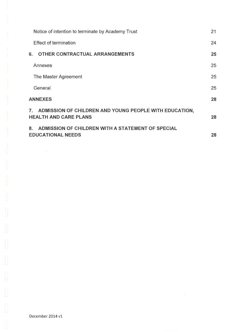| Notice of intention to terminate by Academy Trust                                            | 21 |
|----------------------------------------------------------------------------------------------|----|
| <b>Effect of termination</b>                                                                 | 24 |
| OTHER CONTRACTUAL ARRANGEMENTS<br>6.                                                         | 25 |
| Annexes                                                                                      | 25 |
| The Master Agreement                                                                         | 25 |
| General                                                                                      | 25 |
| <b>ANNEXES</b>                                                                               | 28 |
| ADMISSION OF CHILDREN AND YOUNG PEOPLE WITH EDUCATION,<br>7.<br><b>HEALTH AND CARE PLANS</b> | 28 |
| ADMISSION OF CHILDREN WITH A STATEMENT OF SPECIAL<br>8.<br><b>EDUCATIONAL NEEDS</b>          | 28 |

 $\begin{bmatrix} \phantom{-} \end{bmatrix}$ 

 $\tilde{\chi}$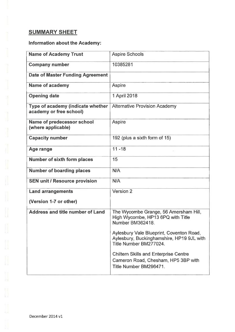# **SUMMARY SHEET**

# Information about the Academy:

| <b>Name of Academy Trust</b>                                 | <b>Aspire Schools</b>                                                                                           |
|--------------------------------------------------------------|-----------------------------------------------------------------------------------------------------------------|
| <b>Company number</b>                                        | 10385281                                                                                                        |
| <b>Date of Master Funding Agreement</b>                      |                                                                                                                 |
| <b>Name of academy</b>                                       | Aspire                                                                                                          |
| <b>Opening date</b>                                          | 1 April 2018                                                                                                    |
| Type of academy (indicate whether<br>academy or free school) | <b>Alternative Provision Academy</b>                                                                            |
| Name of predecessor school<br>(where applicable)             | Aspire                                                                                                          |
| <b>Capacity number</b>                                       | 192 (plus a sixth form of 15)                                                                                   |
| Age range                                                    | $11 - 18$                                                                                                       |
| Number of sixth form places                                  | 15                                                                                                              |
| <b>Number of boarding places</b>                             | N/A                                                                                                             |
| <b>SEN unit / Resource provision</b>                         | N/A                                                                                                             |
| <b>Land arrangements</b>                                     | Version 2                                                                                                       |
| (Version 1-7 or other)                                       |                                                                                                                 |
| Address and title number of Land                             | The Wycombe Grange, 56 Amersham Hill,<br>High Wycombe, HP13 6PQ with Title<br>Number BM362418.                  |
|                                                              | Aylesbury Vale Blueprint, Coventon Road,<br>Aylesbury, Buckinghamshire, HP19 9JL with<br>Title Number BM277024. |
|                                                              | <b>Chiltern Skills and Enterprise Centre</b><br>Cameron Road, Chesham, HP5 3BP with<br>Title Number BM296471.   |

December 2014 v1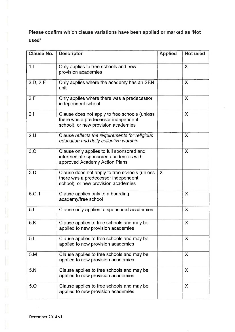Please confirm which clause variations have been applied or marked as 'Not used'

| <b>Clause No.</b> | <b>Descriptor</b>                                                                                                           | <b>Applied</b> | <b>Not used</b> |
|-------------------|-----------------------------------------------------------------------------------------------------------------------------|----------------|-----------------|
| 1.1               | Only applies to free schools and new<br>provision academies                                                                 |                | X               |
| 2.D, 2.E          | Only applies where the academy has an SEN<br>unit                                                                           |                | X               |
| 2.F               | Only applies where there was a predecessor<br>independent school                                                            |                | X               |
| 2.1               | Clause does not apply to free schools (unless<br>there was a predecessor independent<br>school), or new provision academies |                | X               |
| 2.U               | Clause reflects the requirements for religious<br>education and daily collective worship                                    |                | X               |
| 3.C               | Clause only applies to full sponsored and<br>intermediate sponsored academies with<br>approved Academy Action Plans         |                | X               |
| 3.D               | Clause does not apply to free schools (unless<br>there was a predecessor independent<br>school), or new provision academies | X              |                 |
| 5.G.1             | Clause applies only to a boarding<br>academy/free school                                                                    |                | X               |
| 5.1               | Clause only applies to sponsored academies                                                                                  |                | $\times$        |
| 5.K               | Clause applies to free schools and may be<br>applied to new provision academies                                             |                | X               |
| 5.L               | Clause applies to free schools and may be<br>applied to new provision academies                                             |                | X               |
| 5.M               | Clause applies to free schools and may be<br>applied to new provision academies                                             |                | X               |
| 5.N               | Clause applies to free schools and may be<br>applied to new provision academies                                             |                | X               |
| 5.0               | Clause applies to free schools and may be<br>applied to new provision academies                                             |                | X               |

Ï,

Ū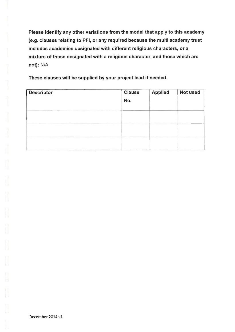Please identify any other variations from the model that apply to this academy (e.g. clauses relating to PFI, or any required because the multi academy trust includes academies designated with different religious characters, or a mixture of those designated with a religious character, and those which are not): N/A

These clauses will be supplied by your project lead if needed.

| <b>Descriptor</b> | <b>Clause</b><br>No. | <b>Applied</b> | Not used |
|-------------------|----------------------|----------------|----------|
|                   |                      |                |          |
|                   |                      |                |          |
|                   |                      |                |          |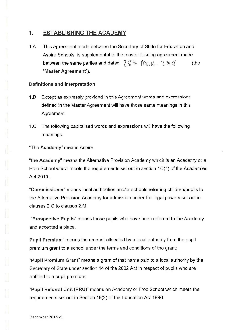# 1. ESTABLISHING THE ACADEMY

1.A This Agreement made between the Secretary of State for Education and Aspire Schools is supplemental to the master funding agreement made between the same parties and dated  $-7\frac{d}{b}$  +  $-1\frac{d}{c}$   $-2\frac{d}{d}$  (the "Master Agreement").

#### Definitions and interpretation

- 1.B Except as expressly provided in this Agreement words and expressions defined in the Master Agreement will have those same meanings in this Agreement.
- 1.0 The following capitalised words and expressions will have the following meanings:

"The Academy" means Aspire.

"the Academy" means the Alternative Provision Academy which is an Academy or a Free School which meets the requirements set out in section 1 C(1) of the Academies Act 2010 .

"Commissioner" means local authorities and/or schools referring children/pupils to the Alternative Provision Academy for admission under the legal powers set out in clauses 2.G to clauses 2.M.

"Prospective Pupils" means those pupils who have been referred to the Academy and accepted a place.

Pupil Premium" means the amount allocated by a local authority from the pupil premium grant to a school under the terms and conditions of the grant;

"Pupil Premium Grant" means a grant of that name paid to a local authority by the Secretary of State under section 14 of the 2002 Act in respect of pupils who are entitled to a pupil premium;

"Pupil Referral Unit (PRU)" means an Academy or Free School which meets the requirements set out in Section 19(2) of the Education Act 1996.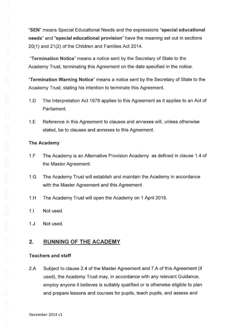"SEN" means Special Educational Needs and the expressions "special educational needs" and "special educational provision" have the meaning set out in sections 20(1) and 21(2) of the Children and Families Act 2014.

"Termination Notice" means a notice sent by the Secretary of State to the Academy Trust, terminating this Agreement on the date specified in the notice.

"Termination Warning Notice" means a notice sent by the Secretary of State to the Academy Trust, stating his intention to terminate this Agreement.

- 1.D The Interpretation Act 1978 applies to this Agreement as it applies to an Act of Parliament.
- 1.E Reference in this Agreement to clauses and annexes will, unless otherwise stated, be to clauses and annexes to this Agreement.

#### The Academy

- 1.F The Academy is an Alternative Provision Academy as defined in clause 1.4 of the Master Agreement.
- 1.G The Academy Trust will establish and maintain the Academy in accordance with the Master Agreement and this Agreement.
- 1.H The Academy Trust will open the Academy on 1 April 2018.
- 1.1 Not used.
- 1.J Not used.

# 2. RUNNING OF THE ACADEMY

#### Teachers and staff

2.A Subject to clause 2.4 of the Master Agreement and 7.A of this Agreement (if used), the Academy Trust may, in accordance with any relevant Guidance, employ anyone it believes is suitably qualified or is otherwise eligible to plan and prepare lessons and courses for pupils, teach pupils, and assess and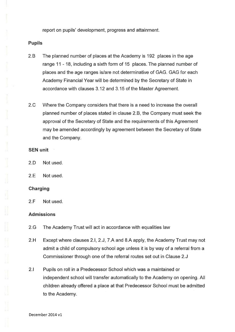report on pupils' development, progress and attainment.

#### Pupils

- 2.B The planned number of places at the Academy is 192 places in the age range 11 - 18, including a sixth form of 15 places. The planned number of places and the age ranges is/are not determinative of GAG. GAG for each Academy Financial Year will be determined by the Secretary of State in accordance with clauses 3.12 and 3.15 of the Master Agreement.
- 2.0 Where the Company considers that there is a need to increase the overall planned number of places stated in clause 2.B, the Company must seek the approval of the Secretary of State and the requirements of this Agreement may be amended accordingly by agreement between the Secretary of State and the Company.

#### SEN unit

- 2.D Not used.
- 2.E Not used.

## Charging

2.F Not used.

#### Admissions

- 2.G The Academy Trust will act in accordance with equalities law
- 2.H Except where clauses 2.1, 2.J, 7.A and 8.A apply, the Academy Trust may not admit a child of compulsory school age unless it is by way of a referral from a Commissioner through one of the referral routes set out in Clause 2.J
- 2.1 Pupils on roll in a Predecessor School which was a maintained or independent school will transfer automatically to the Academy on opening. All children already offered a place at that Predecessor School must be admitted to the Academy.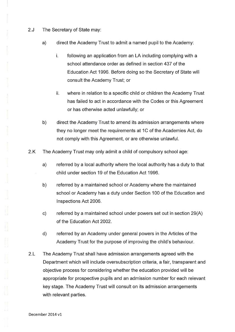- 2.J The Secretary of State may:
	- a) direct the Academy Trust to admit a named pupil to the Academy:
		- i. following an application from an LA including complying with a school attendance order as defined in section 437 of the Education Act 1996. Before doing so the Secretary of State will consult the Academy Trust; or
		- ii. where in relation to a specific child or children the Academy Trust has failed to act in accordance with the Codes or this Agreement or has otherwise acted unlawfully; or
	- b) direct the Academy Trust to amend its admission arrangements where they no longer meet the requirements at 1C of the Academies Act, do not comply with this Agreement, or are otherwise unlawful.
- 2.K The Academy Trust may only admit a child of compulsory school age:
	- a) referred by a local authority where the local authority has a duty to that child under section 19 of the Education Act 1996.
	- b) referred by a maintained school or Academy where the maintained school or Academy has a duty under Section 100 of the Education and Inspections Act 2006.
	- c) referred by a maintained school under powers set out in section 29(A) of the Education Act 2002.
	- d) referred by an Academy under general powers in the Articles of the Academy Trust for the purpose of improving the child's behaviour.
- 2.L The Academy Trust shall have admission arrangements agreed with the Department which will include oversubscription criteria, a fair, transparent and objective process for considering whether the education provided will be appropriate for prospective pupils and an admission number for each relevant key stage. The Academy Trust will consult on its admission arrangements with relevant parties.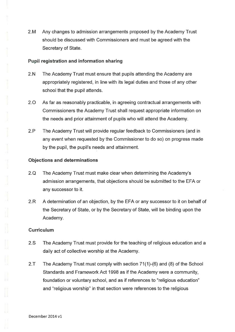2.M Any changes to admission arrangements proposed by the Academy Trust should be discussed with Commissioners and must be agreed with the Secretary of State.

#### Pupil registration and information sharing

- 2.N The Academy Trust must ensure that pupils attending the Academy are appropriately registered, in line with its legal duties and those of any other school that the pupil attends.
- 2.0 As far as reasonably practicable, in agreeing contractual arrangements with Commissioners the Academy Trust shall request appropriate information on the needs and prior attainment of pupils who will attend the Academy.
- 2.P The Academy Trust will provide regular feedback to Commissioners (and in any event when requested by the Commissioner to do so) on progress made by the pupil, the pupil's needs and attainment.

#### Objections and determinations

- 2.Q The Academy Trust must make clear when determining the Academy's admission arrangements, that objections should be submitted to the EFA or any successor to it.
- 2.R A determination of an objection, by the EFA or any successor to it on behalf of the Secretary of State, or by the Secretary of State, will be binding upon the Academy.

#### **Curriculum**

- 2.S The Academy Trust must provide for the teaching of religious education and a daily act of collective worship at the Academy.
- 2.T The Academy Trust must comply with section 71(1)-(6) and (8) of the School Standards and Framework Act 1998 as if the Academy were a community, foundation or voluntary school, and as if references to "religious education" and "religious worship" in that section were references to the religious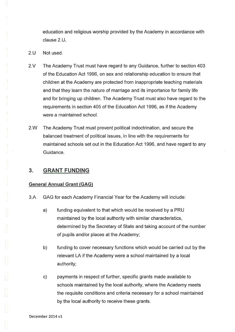education and religious worship provided by the Academy in accordance with clause 2.U.

- 2.U Not used.
- 2.V The Academy Trust must have regard to any Guidance, further to section 403 of the Education Act 1996, on sex and relationship education to ensure that children at the Academy are protected from inappropriate teaching materials and that they learn the nature of marriage and its importance for family life and for bringing up children. The Academy Trust must also have regard to the requirements in section 405 of the Education Act 1996, as if the Academy were a maintained school.
- 2.W The Academy Trust must prevent political indoctrination, and secure the balanced treatment of political issues, in line with the requirements for maintained schools set out in the Education Act 1996, and have regard to any Guidance.

# 3. GRANT FUNDING

#### General Annual Grant (GAG)

- 3.A GAG for each Academy Financial Year for the Academy will include:
	- a) funding equivalent to that which would be received by a PRU maintained by the local authority with similar characteristics, determined by the Secretary of State and taking account of the number of pupils and/or places at the Academy;
	- b) funding to cover necessary functions which would be carried out by the relevant LA if the Academy were a school maintained by a local authority;
	- c) payments in respect of further, specific grants made available to schools maintained by the local authority, where the Academy meets the requisite conditions and criteria necessary for a school maintained by the local authority to receive these grants.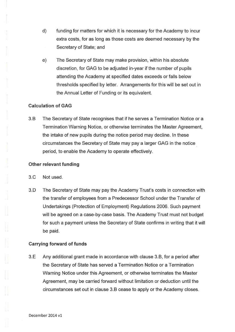- d) funding for matters for which it is necessary for the Academy to incur extra costs, for as long as those costs are deemed necessary by the Secretary of State; and
- e) The Secretary of State may make provision, within his absolute discretion, for GAG to be adjusted in-year if the number of pupils attending the Academy at specified dates exceeds or falls below thresholds specified by letter. Arrangements for this will be set out in the Annual Letter of Funding or its equivalent.

# Calculation of GAG

3.B The Secretary of State recognises that if he serves a Termination Notice or a Termination Warning Notice, or otherwise terminates the Master Agreement, the intake of new pupils during the notice period may decline. In these circumstances the Secretary of State may pay a larger GAG in the notice period, to enable the Academy to operate effectively.

# Other relevant funding

- 3.0 Not used.
- 3.D The Secretary of State may pay the Academy Trust's costs in connection with the transfer of employees from a Predecessor School under the Transfer of Undertakings (Protection of Employment) Regulations 2006. Such payment will be agreed on a case-by-case basis. The Academy Trust must not budget for such a payment unless the Secretary of State confirms in writing that it will be paid.

# Carrying forward of funds

3.E Any additional grant made in accordance with clause 3.B, for a period after the Secretary of State has served a Termination Notice or a Termination Warning Notice under this Agreement, or otherwise terminates the Master Agreement, may be carried forward without limitation or deduction until the circumstances set out in clause 3.B cease to apply or the Academy closes.